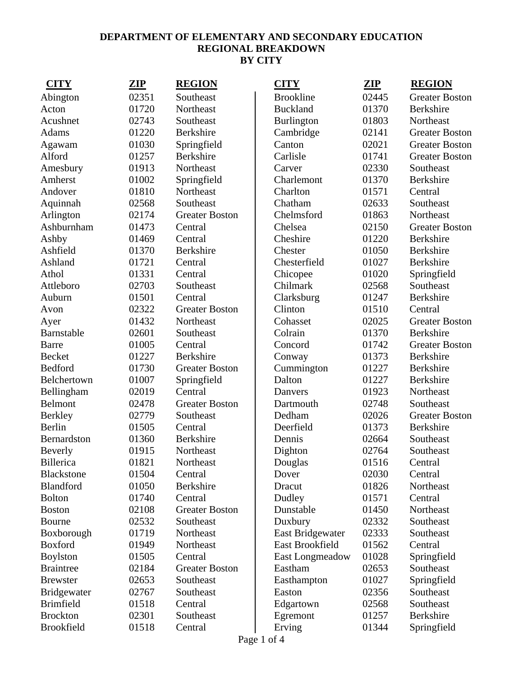| <b>CITY</b>        | <b>ZIP</b> | <b>REGION</b>         | <b>CITY</b>            | ZIP   | <b>REGION</b>         |
|--------------------|------------|-----------------------|------------------------|-------|-----------------------|
| Abington           | 02351      | Southeast             | <b>Brookline</b>       | 02445 | <b>Greater Boston</b> |
| Acton              | 01720      | Northeast             | <b>Buckland</b>        | 01370 | <b>Berkshire</b>      |
| Acushnet           | 02743      | Southeast             | <b>Burlington</b>      | 01803 | Northeast             |
| Adams              | 01220      | Berkshire             | Cambridge              | 02141 | <b>Greater Boston</b> |
| Agawam             | 01030      | Springfield           | Canton                 | 02021 | <b>Greater Boston</b> |
| Alford             | 01257      | <b>Berkshire</b>      | Carlisle               | 01741 | <b>Greater Boston</b> |
| Amesbury           | 01913      | Northeast             | Carver                 | 02330 | Southeast             |
| Amherst            | 01002      | Springfield           | Charlemont             | 01370 | <b>Berkshire</b>      |
| Andover            | 01810      | Northeast             | Charlton               | 01571 | Central               |
| Aquinnah           | 02568      | Southeast             | Chatham                | 02633 | Southeast             |
| Arlington          | 02174      | <b>Greater Boston</b> | Chelmsford             | 01863 | Northeast             |
| Ashburnham         | 01473      | Central               | Chelsea                | 02150 | <b>Greater Boston</b> |
| Ashby              | 01469      | Central               | Cheshire               | 01220 | <b>Berkshire</b>      |
| Ashfield           | 01370      | Berkshire             | Chester                | 01050 | Berkshire             |
| Ashland            | 01721      | Central               | Chesterfield           | 01027 | <b>Berkshire</b>      |
| Athol              | 01331      | Central               | Chicopee               | 01020 | Springfield           |
| Attleboro          | 02703      | Southeast             | Chilmark               | 02568 | Southeast             |
| Auburn             | 01501      | Central               | Clarksburg             | 01247 | Berkshire             |
| Avon               | 02322      | <b>Greater Boston</b> | Clinton                | 01510 | Central               |
| Ayer               | 01432      | Northeast             | Cohasset               | 02025 | <b>Greater Boston</b> |
| Barnstable         | 02601      | Southeast             | Colrain                | 01370 | Berkshire             |
| <b>Barre</b>       | 01005      | Central               | Concord                | 01742 | <b>Greater Boston</b> |
| Becket             | 01227      | <b>Berkshire</b>      | Conway                 | 01373 | <b>Berkshire</b>      |
| Bedford            | 01730      | <b>Greater Boston</b> | Cummington             | 01227 | Berkshire             |
| Belchertown        | 01007      | Springfield           | Dalton                 | 01227 | Berkshire             |
| Bellingham         | 02019      | Central               | Danvers                | 01923 | Northeast             |
| <b>Belmont</b>     | 02478      | <b>Greater Boston</b> | Dartmouth              | 02748 | Southeast             |
| <b>Berkley</b>     | 02779      | Southeast             | Dedham                 | 02026 | <b>Greater Boston</b> |
| Berlin             | 01505      | Central               | Deerfield              | 01373 | Berkshire             |
| Bernardston        | 01360      | <b>Berkshire</b>      | Dennis                 | 02664 | Southeast             |
| Beverly            | 01915      | Northeast             | Dighton                | 02764 | Southeast             |
| <b>Billerica</b>   | 01821      | Northeast             | Douglas                | 01516 | Central               |
| <b>Blackstone</b>  | 01504      | Central               | Dover                  | 02030 | Central               |
| Blandford          | 01050      | Berkshire             | Dracut                 | 01826 | Northeast             |
| <b>Bolton</b>      | 01740      | Central               | Dudley                 | 01571 | Central               |
| <b>Boston</b>      | 02108      | <b>Greater Boston</b> | Dunstable              | 01450 | Northeast             |
| Bourne             | 02532      | Southeast             | Duxbury                | 02332 | Southeast             |
| Boxborough         | 01719      | Northeast             | East Bridgewater       | 02333 | Southeast             |
| <b>Boxford</b>     | 01949      | Northeast             | <b>East Brookfield</b> | 01562 | Central               |
| <b>Boylston</b>    | 01505      | Central               | East Longmeadow        | 01028 | Springfield           |
| <b>Braintree</b>   | 02184      | <b>Greater Boston</b> | Eastham                | 02653 | Southeast             |
| <b>Brewster</b>    | 02653      | Southeast             | Easthampton            | 01027 | Springfield           |
| <b>Bridgewater</b> | 02767      | Southeast             | Easton                 | 02356 | Southeast             |
| <b>Brimfield</b>   | 01518      | Central               | Edgartown              | 02568 | Southeast             |
| <b>Brockton</b>    | 02301      | Southeast             | Egremont               | 01257 | Berkshire             |
| <b>Brookfield</b>  | 01518      | Central               | Erving                 | 01344 | Springfield           |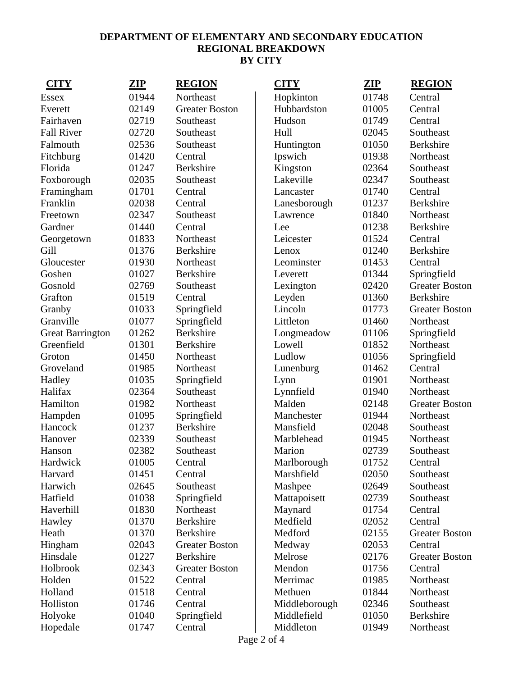| <b>CITY</b>             | <u>ZIP</u> | <b>REGION</b>         | <b>CITY</b>   | <u>ZIP</u> | <b>REGION</b>         |
|-------------------------|------------|-----------------------|---------------|------------|-----------------------|
| <b>Essex</b>            | 01944      | Northeast             | Hopkinton     | 01748      | Central               |
| Everett                 | 02149      | <b>Greater Boston</b> | Hubbardston   | 01005      | Central               |
| Fairhaven               | 02719      | Southeast             | Hudson        | 01749      | Central               |
| <b>Fall River</b>       | 02720      | Southeast             | Hull          | 02045      | Southeast             |
| Falmouth                | 02536      | Southeast             | Huntington    | 01050      | <b>Berkshire</b>      |
| Fitchburg               | 01420      | Central               | Ipswich       | 01938      | Northeast             |
| Florida                 | 01247      | <b>Berkshire</b>      | Kingston      | 02364      | Southeast             |
| Foxborough              | 02035      | Southeast             | Lakeville     | 02347      | Southeast             |
| Framingham              | 01701      | Central               | Lancaster     | 01740      | Central               |
| Franklin                | 02038      | Central               | Lanesborough  | 01237      | Berkshire             |
| Freetown                | 02347      | Southeast             | Lawrence      | 01840      | Northeast             |
| Gardner                 | 01440      | Central               | Lee           | 01238      | Berkshire             |
| Georgetown              | 01833      | Northeast             | Leicester     | 01524      | Central               |
| Gill                    | 01376      | Berkshire             | Lenox         | 01240      | Berkshire             |
| Gloucester              | 01930      | Northeast             | Leominster    | 01453      | Central               |
| Goshen                  | 01027      | Berkshire             | Leverett      | 01344      | Springfield           |
| Gosnold                 | 02769      | Southeast             | Lexington     | 02420      | <b>Greater Boston</b> |
| Grafton                 | 01519      | Central               | Leyden        | 01360      | <b>Berkshire</b>      |
| Granby                  | 01033      | Springfield           | Lincoln       | 01773      | <b>Greater Boston</b> |
| Granville               | 01077      | Springfield           | Littleton     | 01460      | Northeast             |
| <b>Great Barrington</b> | 01262      | <b>Berkshire</b>      | Longmeadow    | 01106      | Springfield           |
| Greenfield              | 01301      | <b>Berkshire</b>      | Lowell        | 01852      | Northeast             |
| Groton                  | 01450      | Northeast             | Ludlow        | 01056      | Springfield           |
| Groveland               | 01985      | Northeast             | Lunenburg     | 01462      | Central               |
| Hadley                  | 01035      | Springfield           | Lynn          | 01901      | Northeast             |
| Halifax                 | 02364      | Southeast             | Lynnfield     | 01940      | Northeast             |
| Hamilton                | 01982      | Northeast             | Malden        | 02148      | <b>Greater Boston</b> |
| Hampden                 | 01095      | Springfield           | Manchester    | 01944      | Northeast             |
| Hancock                 | 01237      | Berkshire             | Mansfield     | 02048      | Southeast             |
| Hanover                 | 02339      | Southeast             | Marblehead    | 01945      | Northeast             |
| Hanson                  | 02382      | Southeast             | Marion        | 02739      | Southeast             |
| Hardwick                | 01005      | Central               | Marlborough   | 01752      | Central               |
| Harvard                 | 01451      | Central               | Marshfield    | 02050      | Southeast             |
| Harwich                 | 02645      | Southeast             | Mashpee       | 02649      | Southeast             |
| Hatfield                | 01038      | Springfield           | Mattapoisett  | 02739      | Southeast             |
| Haverhill               | 01830      | Northeast             | Maynard       | 01754      | Central               |
| Hawley                  | 01370      | <b>Berkshire</b>      | Medfield      | 02052      | Central               |
| Heath                   | 01370      | Berkshire             | Medford       | 02155      | <b>Greater Boston</b> |
| Hingham                 | 02043      | <b>Greater Boston</b> | Medway        | 02053      | Central               |
| Hinsdale                | 01227      | Berkshire             | Melrose       | 02176      | <b>Greater Boston</b> |
| Holbrook                | 02343      | <b>Greater Boston</b> | Mendon        | 01756      | Central               |
| Holden                  | 01522      | Central               | Merrimac      | 01985      | Northeast             |
| Holland                 | 01518      | Central               | Methuen       | 01844      | Northeast             |
| Holliston               | 01746      | Central               | Middleborough | 02346      | Southeast             |
| Holyoke                 | 01040      | Springfield           | Middlefield   | 01050      | Berkshire             |
| Hopedale                | 01747      | Central               | Middleton     | 01949      | Northeast             |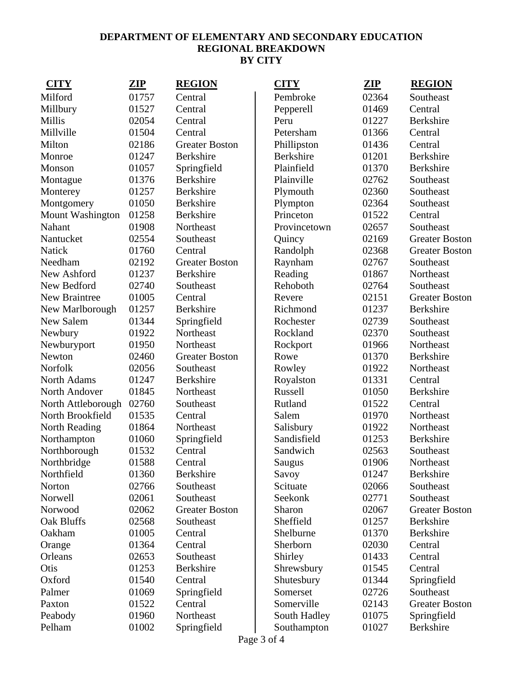| <b>CITY</b>             | <b>ZIP</b> | <b>REGION</b>         | <b>CITY</b>      | ZIP   | <b>REGION</b>         |
|-------------------------|------------|-----------------------|------------------|-------|-----------------------|
| Milford                 | 01757      | Central               | Pembroke         | 02364 | Southeast             |
| Millbury                | 01527      | Central               | Pepperell        | 01469 | Central               |
| <b>Millis</b>           | 02054      | Central               | Peru             | 01227 | Berkshire             |
| Millville               | 01504      | Central               | Petersham        | 01366 | Central               |
| Milton                  | 02186      | <b>Greater Boston</b> | Phillipston      | 01436 | Central               |
| Monroe                  | 01247      | <b>Berkshire</b>      | <b>Berkshire</b> | 01201 | Berkshire             |
| Monson                  | 01057      | Springfield           | Plainfield       | 01370 | Berkshire             |
| Montague                | 01376      | Berkshire             | Plainville       | 02762 | Southeast             |
| Monterey                | 01257      | Berkshire             | Plymouth         | 02360 | Southeast             |
| Montgomery              | 01050      | <b>Berkshire</b>      | Plympton         | 02364 | Southeast             |
| <b>Mount Washington</b> | 01258      | Berkshire             | Princeton        | 01522 | Central               |
| Nahant                  | 01908      | Northeast             | Provincetown     | 02657 | Southeast             |
| Nantucket               | 02554      | Southeast             | Quincy           | 02169 | <b>Greater Boston</b> |
| <b>Natick</b>           | 01760      | Central               | Randolph         | 02368 | <b>Greater Boston</b> |
| Needham                 | 02192      | <b>Greater Boston</b> | Raynham          | 02767 | Southeast             |
| New Ashford             | 01237      | Berkshire             | Reading          | 01867 | Northeast             |
| New Bedford             | 02740      | Southeast             | Rehoboth         | 02764 | Southeast             |
| New Braintree           | 01005      | Central               | Revere           | 02151 | <b>Greater Boston</b> |
| New Marlborough         | 01257      | <b>Berkshire</b>      | Richmond         | 01237 | Berkshire             |
| New Salem               | 01344      | Springfield           | Rochester        | 02739 | Southeast             |
| Newbury                 | 01922      | Northeast             | Rockland         | 02370 | Southeast             |
| Newburyport             | 01950      | Northeast             | Rockport         | 01966 | Northeast             |
| Newton                  | 02460      | <b>Greater Boston</b> | Rowe             | 01370 | Berkshire             |
| Norfolk                 | 02056      | Southeast             | Rowley           | 01922 | Northeast             |
| North Adams             | 01247      | Berkshire             | Royalston        | 01331 | Central               |
| North Andover           | 01845      | Northeast             | Russell          | 01050 | <b>Berkshire</b>      |
| North Attleborough      | 02760      | Southeast             | Rutland          | 01522 | Central               |
| North Brookfield        | 01535      | Central               | Salem            | 01970 | Northeast             |
| North Reading           | 01864      | Northeast             | Salisbury        | 01922 | Northeast             |
| Northampton             | 01060      | Springfield           | Sandisfield      | 01253 | Berkshire             |
| Northborough            | 01532      | Central               | Sandwich         | 02563 | Southeast             |
| Northbridge             | 01588      | Central               | Saugus           | 01906 | Northeast             |
| Northfield              | 01360      | Berkshire             | Savoy            | 01247 | Berkshire             |
| Norton                  | 02766      | Southeast             | Scituate         | 02066 | Southeast             |
| Norwell                 | 02061      | Southeast             | Seekonk          | 02771 | Southeast             |
| Norwood                 | 02062      | <b>Greater Boston</b> | Sharon           | 02067 | <b>Greater Boston</b> |
| Oak Bluffs              | 02568      | Southeast             | Sheffield        | 01257 | Berkshire             |
| Oakham                  | 01005      | Central               | Shelburne        | 01370 | Berkshire             |
| Orange                  | 01364      | Central               | Sherborn         | 02030 | Central               |
| Orleans                 | 02653      | Southeast             | Shirley          | 01433 | Central               |
| Otis                    | 01253      | Berkshire             | Shrewsbury       | 01545 | Central               |
| Oxford                  | 01540      | Central               | Shutesbury       | 01344 | Springfield           |
| Palmer                  | 01069      | Springfield           | Somerset         | 02726 | Southeast             |
| Paxton                  | 01522      | Central               | Somerville       | 02143 | <b>Greater Boston</b> |
| Peabody                 | 01960      | Northeast             | South Hadley     | 01075 | Springfield           |
| Pelham                  | 01002      | Springfield           | Southampton      | 01027 | <b>Berkshire</b>      |